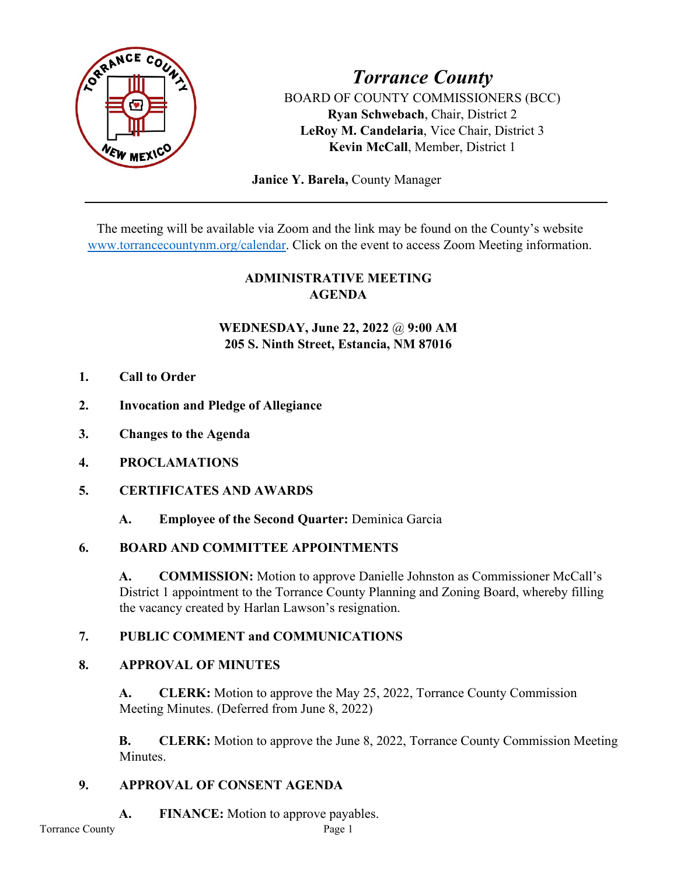

# *Torrance County* BOARD OF COUNTY COMMISSIONERS (BCC) **Ryan Schwebach**, Chair, District 2 **LeRoy M. Candelaria**, Vice Chair, District 3 **Kevin McCall**, Member, District 1

 **Janice Y. Barela,** County Manager

The meeting will be available via Zoom and the link may be found on the County's website [www.torrancecountynm.org/calendar.](http://www.torrancecountynm.org/calendar) Click on the event to access Zoom Meeting information.

# **ADMINISTRATIVE MEETING AGENDA**

# **WEDNESDAY, June 22, 2022** @ **9:00 AM 205 S. Ninth Street, Estancia, NM 87016**

- **1. Call to Order**
- **2. Invocation and Pledge of Allegiance**
- **3. Changes to the Agenda**
- **4. PROCLAMATIONS**
- **5. CERTIFICATES AND AWARDS**
	- **A. Employee of the Second Quarter:** Deminica Garcia

### **6. BOARD AND COMMITTEE APPOINTMENTS**

**A. COMMISSION:** Motion to approve Danielle Johnston as Commissioner McCall's District 1 appointment to the Torrance County Planning and Zoning Board, whereby filling the vacancy created by Harlan Lawson's resignation.

### **7. PUBLIC COMMENT and COMMUNICATIONS**

### **8. APPROVAL OF MINUTES**

**A. CLERK:** Motion to approve the May 25, 2022, Torrance County Commission Meeting Minutes. (Deferred from June 8, 2022)

**B. CLERK:** Motion to approve the June 8, 2022, Torrance County Commission Meeting **Minutes** 

# **9. APPROVAL OF CONSENT AGENDA**

**A. FINANCE:** Motion to approve payables.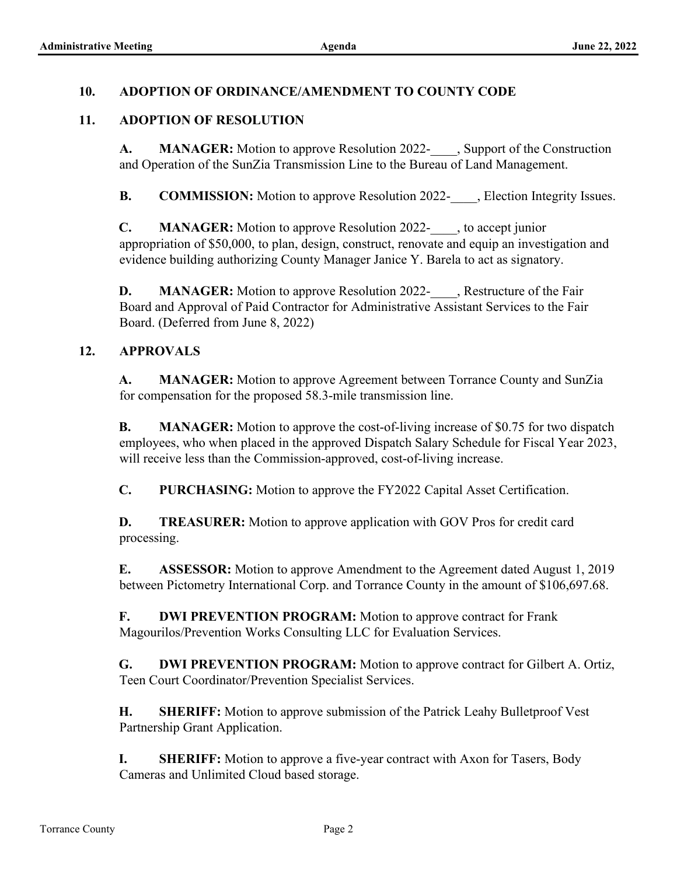### **10. ADOPTION OF ORDINANCE/AMENDMENT TO COUNTY CODE**

### **11. ADOPTION OF RESOLUTION**

**A. MANAGER:** Motion to approve Resolution 2022- , Support of the Construction and Operation of the SunZia Transmission Line to the Bureau of Land Management.

**B. COMMISSION:** Motion to approve Resolution 2022- , Election Integrity Issues.

**C. MANAGER:** Motion to approve Resolution 2022-\_\_\_\_, to accept junior appropriation of \$50,000, to plan, design, construct, renovate and equip an investigation and evidence building authorizing County Manager Janice Y. Barela to act as signatory.

**D. MANAGER:** Motion to approve Resolution 2022- , Restructure of the Fair Board and Approval of Paid Contractor for Administrative Assistant Services to the Fair Board. (Deferred from June 8, 2022)

### **12. APPROVALS**

**A. MANAGER:** Motion to approve Agreement between Torrance County and SunZia for compensation for the proposed 58.3-mile transmission line.

**B. MANAGER:** Motion to approve the cost-of-living increase of \$0.75 for two dispatch employees, who when placed in the approved Dispatch Salary Schedule for Fiscal Year 2023, will receive less than the Commission-approved, cost-of-living increase.

**C. PURCHASING:** Motion to approve the FY2022 Capital Asset Certification.

**D. TREASURER:** Motion to approve application with GOV Pros for credit card processing.

**E. ASSESSOR:** Motion to approve Amendment to the Agreement dated August 1, 2019 between Pictometry International Corp. and Torrance County in the amount of \$106,697.68.

**F. DWI PREVENTION PROGRAM:** Motion to approve contract for Frank Magourilos/Prevention Works Consulting LLC for Evaluation Services.

**G. DWI PREVENTION PROGRAM:** Motion to approve contract for Gilbert A. Ortiz, Teen Court Coordinator/Prevention Specialist Services.

**H. SHERIFF:** Motion to approve submission of the Patrick Leahy Bulletproof Vest Partnership Grant Application.

**I. SHERIFF:** Motion to approve a five-year contract with Axon for Tasers, Body Cameras and Unlimited Cloud based storage.